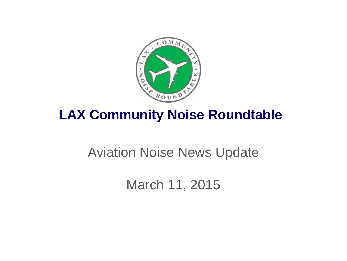

## **LAX Community Noise Roundtable**

## Aviation Noise News Update

March 11, 2015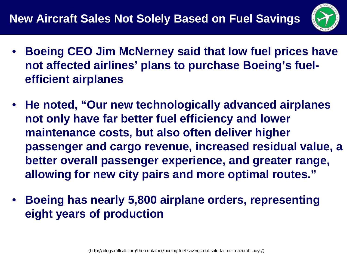

- **Boeing CEO Jim McNerney said that low fuel prices have not affected airlines' plans to purchase Boeing's fuelefficient airplanes**
- **He noted, "Our new technologically advanced airplanes not only have far better fuel efficiency and lower maintenance costs, but also often deliver higher passenger and cargo revenue, increased residual value, a better overall passenger experience, and greater range, allowing for new city pairs and more optimal routes."**
- **Boeing has nearly 5,800 airplane orders, representing eight years of production**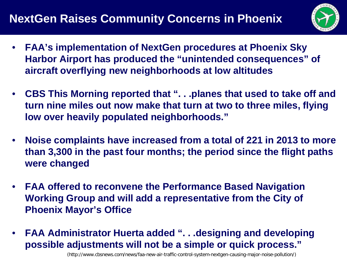## **NextGen Raises Community Concerns in Phoenix**



- **FAA's implementation of NextGen procedures at Phoenix Sky Harbor Airport has produced the "unintended consequences" of aircraft overflying new neighborhoods at low altitudes**
- **CBS This Morning reported that ". . .planes that used to take off and turn nine miles out now make that turn at two to three miles, flying low over heavily populated neighborhoods."**
- **Noise complaints have increased from a total of 221 in 2013 to more than 3,300 in the past four months; the period since the flight paths were changed**
- **FAA offered to reconvene the Performance Based Navigation Working Group and will add a representative from the City of Phoenix Mayor's Office**
- **FAA Administrator Huerta added ". . .designing and developing possible adjustments will not be a simple or quick process."**

(http://www.cbsnews.com/news/faa-new-air-traffic-control-system-nextgen-causing-major-noise-pollution/)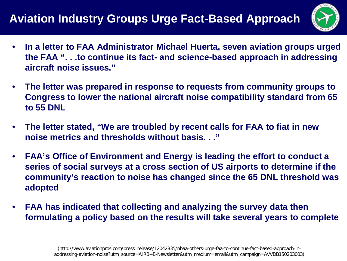## **Aviation Industry Groups Urge Fact-Based Approach**



- **In a letter to FAA Administrator Michael Huerta, seven aviation groups urged the FAA ". . .to continue its fact- and science-based approach in addressing aircraft noise issues."**
- **The letter was prepared in response to requests from community groups to Congress to lower the national aircraft noise compatibility standard from 65 to 55 DNL**
- **The letter stated, "We are troubled by recent calls for FAA to fiat in new noise metrics and thresholds without basis. . ."**
- **FAA's Office of Environment and Energy is leading the effort to conduct a series of social surveys at a cross section of US airports to determine if the community's reaction to noise has changed since the 65 DNL threshold was adopted**
- **FAA has indicated that collecting and analyzing the survey data then formulating a policy based on the results will take several years to complete**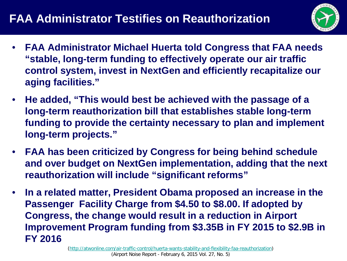

- **FAA Administrator Michael Huerta told Congress that FAA needs "stable, long-term funding to effectively operate our air traffic control system, invest in NextGen and efficiently recapitalize our aging facilities."**
- **He added, "This would best be achieved with the passage of a long-term reauthorization bill that establishes stable long-term funding to provide the certainty necessary to plan and implement long-term projects."**
- **FAA has been criticized by Congress for being behind schedule and over budget on NextGen implementation, adding that the next reauthorization will include "significant reforms"**
- **In a related matter, President Obama proposed an increase in the Passenger Facility Charge from \$4.50 to \$8.00. If adopted by Congress, the change would result in a reduction in Airport Improvement Program funding from \$3.35B in FY 2015 to \$2.9B in FY 2016**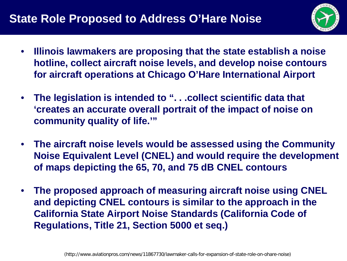

- **Illinois lawmakers are proposing that the state establish a noise hotline, collect aircraft noise levels, and develop noise contours for aircraft operations at Chicago O'Hare International Airport**
- **The legislation is intended to ". . .collect scientific data that 'creates an accurate overall portrait of the impact of noise on community quality of life.'"**
- **The aircraft noise levels would be assessed using the Community Noise Equivalent Level (CNEL) and would require the development of maps depicting the 65, 70, and 75 dB CNEL contours**
- **The proposed approach of measuring aircraft noise using CNEL and depicting CNEL contours is similar to the approach in the California State Airport Noise Standards (California Code of Regulations, Title 21, Section 5000 et seq.)**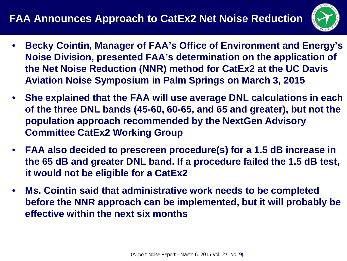

- **Becky Cointin, Manager of FAA's Office of Environment and Energy's Noise Division, presented FAA's determination on the application of the Net Noise Reduction (NNR) method for CatEx2 at the UC Davis Aviation Noise Symposium in Palm Springs on March 3, 2015**
- **She explained that the FAA will use average DNL calculations in each of the three DNL bands (45-60, 60-65, and 65 and greater), but not the population approach recommended by the NextGen Advisory Committee CatEx2 Working Group**
- **FAA also decided to prescreen procedure(s) for a 1.5 dB increase in the 65 dB and greater DNL band. If a procedure failed the 1.5 dB test, it would not be eligible for a CatEx2**
- **Ms. Cointin said that administrative work needs to be completed before the NNR approach can be implemented, but it will probably be effective within the next six months**